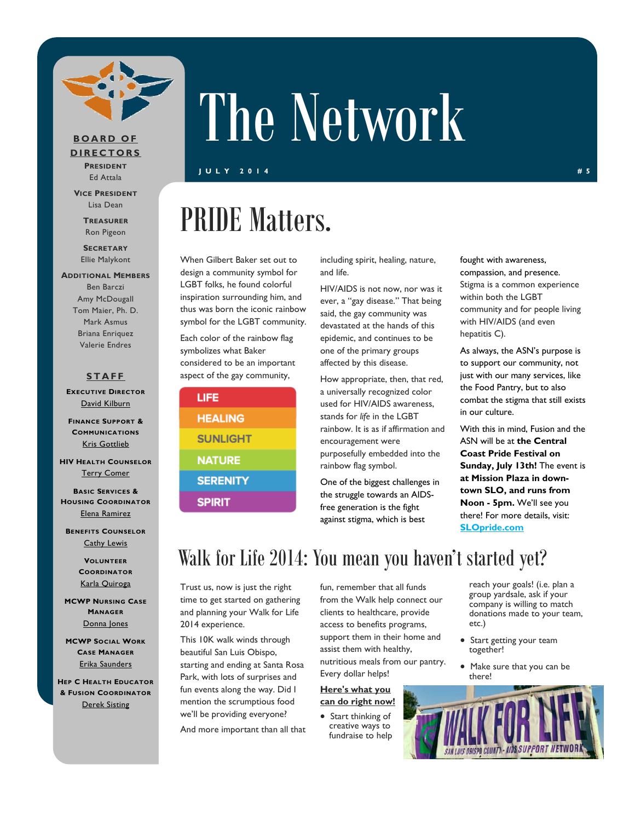

#### **BOARD OF DIRECTORS PRESIDENT**

Ed Attala

**VICE PRESIDENT** Lisa Dean

> **TREASURER** Ron Pigeon

**SECRETARY** Ellie Malykont

**ADDITIONAL MEMBERS** Ben Barczi Amy McDougall Tom Maier, Ph. D. Mark Asmus Briana Enriquez Valerie Endres

### **STAFF**

**EXECUTIVE DIRECTOR** David Kilburn

**FINANCE SUPPORT & COMMUNICATIONS** Kris Gottlieb

**HIV HEALTH COUNSELOR** Terry Comer

**BASIC SERVICES & HOUSING COORDINATOR** Elena Ramirez

**BENEFITS COUNSELOR** Cathy Lewis

> **VOLUNTEER COORDINATOR** Karla Quiroga

**MCWP NURSING CASE MANAGER** Donna Jones

**MCWP SOCIAL WORK CASE MANAGER** Erika Saunders

**HEP C HEALTH EDUCATOR & FUSION COORDINATOR** Derek Sisting

# The Network

**JULY 2014 #5** 

## PRIDE Matters.

When Gilbert Baker set out to design a community symbol for LGBT folks, he found colorful inspiration surrounding him, and thus was born the iconic rainbow symbol for the LGBT community.

Each color of the rainbow flag symbolizes what Baker considered to be an important aspect of the gay community,

### LIFE **HEALING SUNLIGHT NATURE SERENITY SPIRIT**

including spirit, healing, nature, and life.

HIV/AIDS is not now, nor was it ever, a "gay disease." That being said, the gay community was devastated at the hands of this epidemic, and continues to be one of the primary groups affected by this disease.

How appropriate, then, that red, a universally recognized color used for HIV/AIDS awareness, stands for *life* in the LGBT rainbow. It is as if affirmation and encouragement were purposefully embedded into the rainbow flag symbol.

One of the biggest challenges in the struggle towards an AIDSfree generation is the fight against stigma, which is best

fought with awareness, compassion, and presence. Stigma is a common experience within both the LGBT community and for people living with HIV/AIDS (and even hepatitis C).

As always, the ASN's purpose is to support our community, not just with our many services, like the Food Pantry, but to also combat the stigma that still exists in our culture.

With this in mind, Fusion and the ASN will be at **the Central Coast Pride Festival on Sunday, July 13th!** The event is **at Mission Plaza in downtown SLO, and runs from Noon - 5pm.** We'll see you there! For more details, visit: **SLOpride.com**

### Walk for Life 2014: You mean you haven't started yet?

Trust us, now is just the right time to get started on gathering and planning your Walk for Life 2014 experience.

This 10K walk winds through beautiful San Luis Obispo, starting and ending at Santa Rosa Park, with lots of surprises and fun events along the way. Did I mention the scrumptious food we'll be providing everyone?

And more important than all that

fun, remember that all funds from the Walk help connect our clients to healthcare, provide access to benefits programs, support them in their home and assist them with healthy, nutritious meals from our pantry. Every dollar helps!

**Here's what you can do right now!** 

• Start thinking of creative ways to fundraise to help

reach your goals! (i.e. plan a group yardsale, ask if your company is willing to match donations made to your team, etc.)

- Start getting your team together!
- Make sure that you can be there!

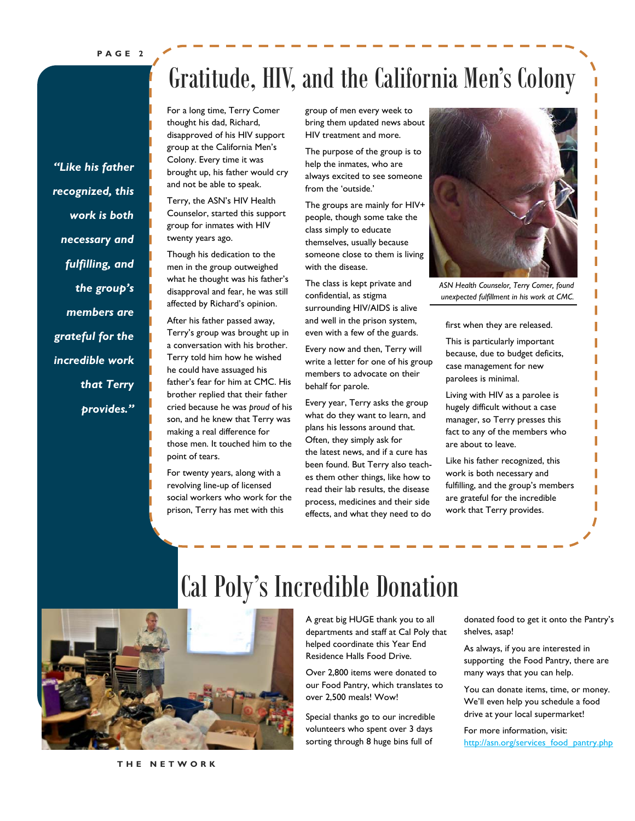*"Like his father recognized, this work is both necessary and fulfilling, and the group's members are grateful for the incredible work that Terry provides."* 

### Gratitude, HIV, and the California Men's Colony

For a long time, Terry Comer thought his dad, Richard, disapproved of his HIV support group at the California Men's Colony. Every time it was brought up, his father would cry and not be able to speak.

Terry, the ASN's HIV Health Counselor, started this support group for inmates with HIV twenty years ago.

Though his dedication to the men in the group outweighed what he thought was his father's disapproval and fear, he was still affected by Richard's opinion.

After his father passed away, Terry's group was brought up in a conversation with his brother. Terry told him how he wished he could have assuaged his father's fear for him at CMC. His brother replied that their father cried because he was *proud* of his son, and he knew that Terry was making a real difference for those men. It touched him to the point of tears.

For twenty years, along with a revolving line-up of licensed social workers who work for the prison, Terry has met with this

group of men every week to bring them updated news about HIV treatment and more.

The purpose of the group is to help the inmates, who are always excited to see someone from the 'outside.'

The groups are mainly for HIV+ people, though some take the class simply to educate themselves, usually because someone close to them is living with the disease.

The class is kept private and confidential, as stigma surrounding HIV/AIDS is alive and well in the prison system, even with a few of the guards.

Every now and then, Terry will write a letter for one of his group members to advocate on their behalf for parole.

Every year, Terry asks the group what do they want to learn, and plans his lessons around that. Often, they simply ask for the latest news, and if a cure has been found. But Terry also teaches them other things, like how to read their lab results, the disease process, medicines and their side effects, and what they need to do



*ASN Health Counselor, Terry Comer, found unexpected fulfillment in his work at CMC.* 

first when they are released.

This is particularly important because, due to budget deficits, case management for new parolees is minimal.

Living with HIV as a parolee is hugely difficult without a case manager, so Terry presses this fact to any of the members who are about to leave.

Like his father recognized, this work is both necessary and fulfilling, and the group's members are grateful for the incredible work that Terry provides.



### Cal Poly's Incredible Donation

A great big HUGE thank you to all departments and staff at Cal Poly that helped coordinate this Year End Residence Halls Food Drive.

Over 2,800 items were donated to our Food Pantry, which translates to over 2,500 meals! Wow!

Special thanks go to our incredible volunteers who spent over 3 days sorting through 8 huge bins full of

donated food to get it onto the Pantry's shelves, asap!

As always, if you are interested in supporting the Food Pantry, there are many ways that you can help.

You can donate items, time, or money. We'll even help you schedule a food drive at your local supermarket!

For more information, visit: http://asn.org/services\_food\_pantry.php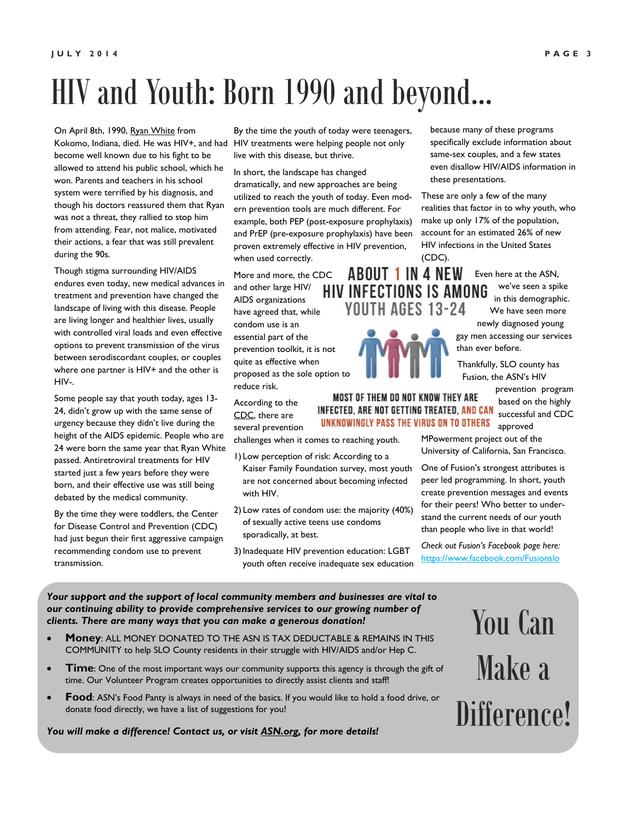### HIV and Youth: Born 1990 and beyond...

On April 8th, 1990, Ryan White from Kokomo, Indiana, died. He was HIV+, and had become well known due to his fight to be allowed to attend his public school, which he won. Parents and teachers in his school system were terrified by his diagnosis, and though his doctors reassured them that Ryan was not a threat, they rallied to stop him from attending. Fear, not malice, motivated their actions, a fear that was still prevalent during the 90s.

Though stigma surrounding HIV/AIDS endures even today, new medical advances in treatment and prevention have changed the landscape of living with this disease. People are living longer and healthier lives, usually with controlled viral loads and even effective options to prevent transmission of the virus between serodiscordant couples, or couples where one partner is HIV+ and the other is HIV-.

Some people say that youth today, ages 13- 24, didn't grow up with the same sense of urgency because they didn't live during the height of the AIDS epidemic. People who are 24 were born the same year that Ryan White passed. Antiretroviral treatments for HIV started just a few years before they were born, and their effective use was still being debated by the medical community.

By the time they were toddlers, the Center for Disease Control and Prevention (CDC) had just begun their first aggressive campaign recommending condom use to prevent transmission.

By the time the youth of today were teenagers, HIV treatments were helping people not only live with this disease, but thrive.

In short, the landscape has changed dramatically, and new approaches are being utilized to reach the youth of today. Even modern prevention tools are much different. For example, both PEP (post-exposure prophylaxis) and PrEP (pre-exposure prophylaxis) have been proven extremely effective in HIV prevention, when used correctly.

More and more, the CDC and other large HIV/ HIV AIDS organizations have agreed that, while condom use is an essential part of the prevention toolkit, it is not quite as effective when proposed as the sole option to reduce risk.

According to the CDC, there are several prevention

challenges when it comes to reaching youth.

- 1) Low perception of risk: According to a Kaiser Family Foundation survey, most youth are not concerned about becoming infected with HIV.
- 2) Low rates of condom use: the majority (40%) of sexually active teens use condoms sporadically, at best.
- 3) Inadequate HIV prevention education: LGBT youth often receive inadequate sex education

because many of these programs specifically exclude information about same-sex couples, and a few states even disallow HIV/AIDS information in these presentations.

These are only a few of the many realities that factor in to why youth, who make up only 17% of the population, account for an estimated 26% of new HIV infections in the United States (CDC).

Even here at the ASN, we've seen a spike **INFECTIONS IS AMONG** in this demographic. We have seen more

newly diagnosed young gay men accessing our services than ever before.

Thankfully, SLO county has Fusion, the ASN's HIV

> prevention program based on the highly

INFECTED, ARE NOT GETTING TREATED, AND CAN successful and CDC UNKNOWINGLY PASS THE VIRUS ON TO OTHERS approved

MPowerment project out of the University of California, San Francisco.

One of Fusion's strongest attributes is peer led programming. In short, youth create prevention messages and events for their peers! Who better to understand the current needs of our youth than people who live in that world!

*Check out Fusion's Facebook page here:*  https://www.facebook.com/Fusionslo

*Your support and the support of local community members and businesses are vital to our continuing ability to provide comprehensive services to our growing number of clients. There are many ways that you can make a generous donation!* 

- **Money**: ALL MONEY DONATED TO THE ASN IS TAX DEDUCTABLE & REMAINS IN THIS COMMUNITY to help SLO County residents in their struggle with HIV/AIDS and/or Hep C.
- **Time**: One of the most important ways our community supports this agency is through the gift of time. Our Volunteer Program creates opportunities to directly assist clients and staff!
- **Food:** ASN's Food Panty is always in need of the basics. If you would like to hold a food drive, or donate food directly, we have a list of suggestions for you!

*You will make a difference! Contact us, or visit ASN.org, for more details!* 

# You Can Make a Difference!



MOST OF THEM DO NOT KNOW THEY ARE

**ABOUT 1 IN 4 NEW** 

YOUTH AGES 13-24